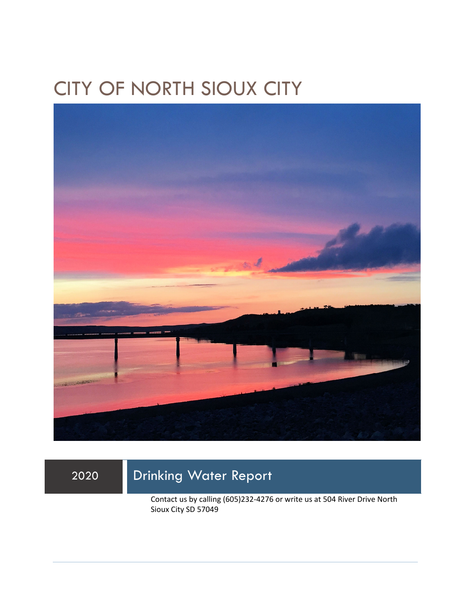## CITY OF NORTH SIOUX CITY



## 2020 Drinking Water Report

Contact us by calling (605)232-4276 or write us at 504 River Drive North Sioux City SD 57049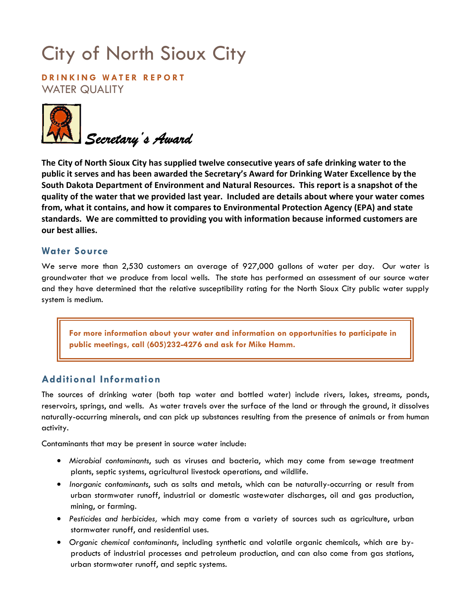# City of North Sioux City

**DRINKING WATER REPORT**  WATER QUALITY



**The City of North Sioux City has supplied twelve consecutive years of safe drinking water to the public it serves and has been awarded the Secretary's Award for Drinking Water Excellence by the South Dakota Department of Environment and Natural Resources. This report is a snapshot of the quality of the water that we provided last year. Included are details about where your water comes from, what it contains, and how it compares to Environmental Protection Agency (EPA) and state standards. We are committed to providing you with information because informed customers are our best allies.** 

#### **Water Source**

We serve more than 2,530 customers an average of 927,000 gallons of water per day. Our water is groundwater that we produce from local wells. The state has performed an assessment of our source water and they have determined that the relative susceptibility rating for the North Sioux City public water supply system is medium.

**For more information about your water and information on opportunities to participate in public meetings, call (605)232-4276 and ask for Mike Hamm.** 

### **Additional Information**

The sources of drinking water (both tap water and bottled water) include rivers, lakes, streams, ponds, reservoirs, springs, and wells. As water travels over the surface of the land or through the ground, it dissolves naturally-occurring minerals, and can pick up substances resulting from the presence of animals or from human activity.

Contaminants that may be present in source water include:

- *Microbial contaminants*, such as viruses and bacteria, which may come from sewage treatment plants, septic systems, agricultural livestock operations, and wildlife.
- *Inorganic contaminants*, such as salts and metals, which can be naturally-occurring or result from urban stormwater runoff, industrial or domestic wastewater discharges, oil and gas production, mining, or farming.
- *Pesticides and herbicides,* which may come from a variety of sources such as agriculture, urban stormwater runoff, and residential uses.
- *Organic chemical contaminants*, including synthetic and volatile organic chemicals, which are byproducts of industrial processes and petroleum production, and can also come from gas stations, urban stormwater runoff, and septic systems.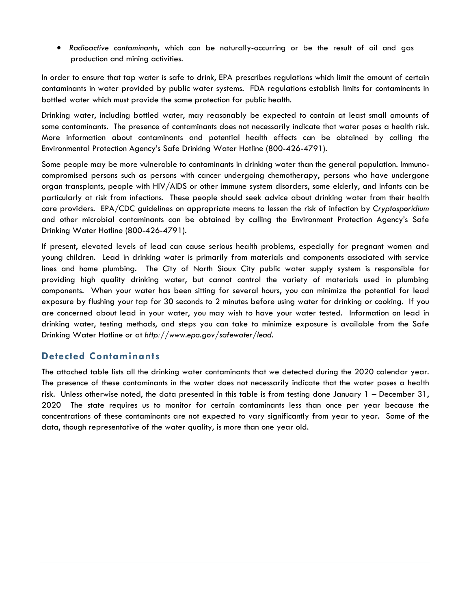• *Radioactive contaminants*, which can be naturally-occurring or be the result of oil and gas production and mining activities.

In order to ensure that tap water is safe to drink, EPA prescribes regulations which limit the amount of certain contaminants in water provided by public water systems. FDA regulations establish limits for contaminants in bottled water which must provide the same protection for public health.

Drinking water, including bottled water, may reasonably be expected to contain at least small amounts of some contaminants. The presence of contaminants does not necessarily indicate that water poses a health risk. More information about contaminants and potential health effects can be obtained by calling the Environmental Protection Agency's Safe Drinking Water Hotline (800-426-4791).

Some people may be more vulnerable to contaminants in drinking water than the general population. Immunocompromised persons such as persons with cancer undergoing chemotherapy, persons who have undergone organ transplants, people with HIV/AIDS or other immune system disorders, some elderly, and infants can be particularly at risk from infections. These people should seek advice about drinking water from their health care providers. EPA/CDC guidelines on appropriate means to lessen the risk of infection by *Cryptosporidium* and other microbial contaminants can be obtained by calling the Environment Protection Agency's Safe Drinking Water Hotline (800-426-4791).

If present, elevated levels of lead can cause serious health problems, especially for pregnant women and young children. Lead in drinking water is primarily from materials and components associated with service lines and home plumbing. The City of North Sioux City public water supply system is responsible for providing high quality drinking water, but cannot control the variety of materials used in plumbing components. When your water has been sitting for several hours, you can minimize the potential for lead exposure by flushing your tap for 30 seconds to 2 minutes before using water for drinking or cooking. If you are concerned about lead in your water, you may wish to have your water tested. Information on lead in drinking water, testing methods, and steps you can take to minimize exposure is available from the Safe Drinking Water Hotline or at *http://www.epa.gov/safewater/lead*.

### **Detected Contaminants**

The attached table lists all the drinking water contaminants that we detected during the 2020 calendar year. The presence of these contaminants in the water does not necessarily indicate that the water poses a health risk. Unless otherwise noted, the data presented in this table is from testing done January 1 – December 31, 2020 The state requires us to monitor for certain contaminants less than once per year because the concentrations of these contaminants are not expected to vary significantly from year to year. Some of the data, though representative of the water quality, is more than one year old.